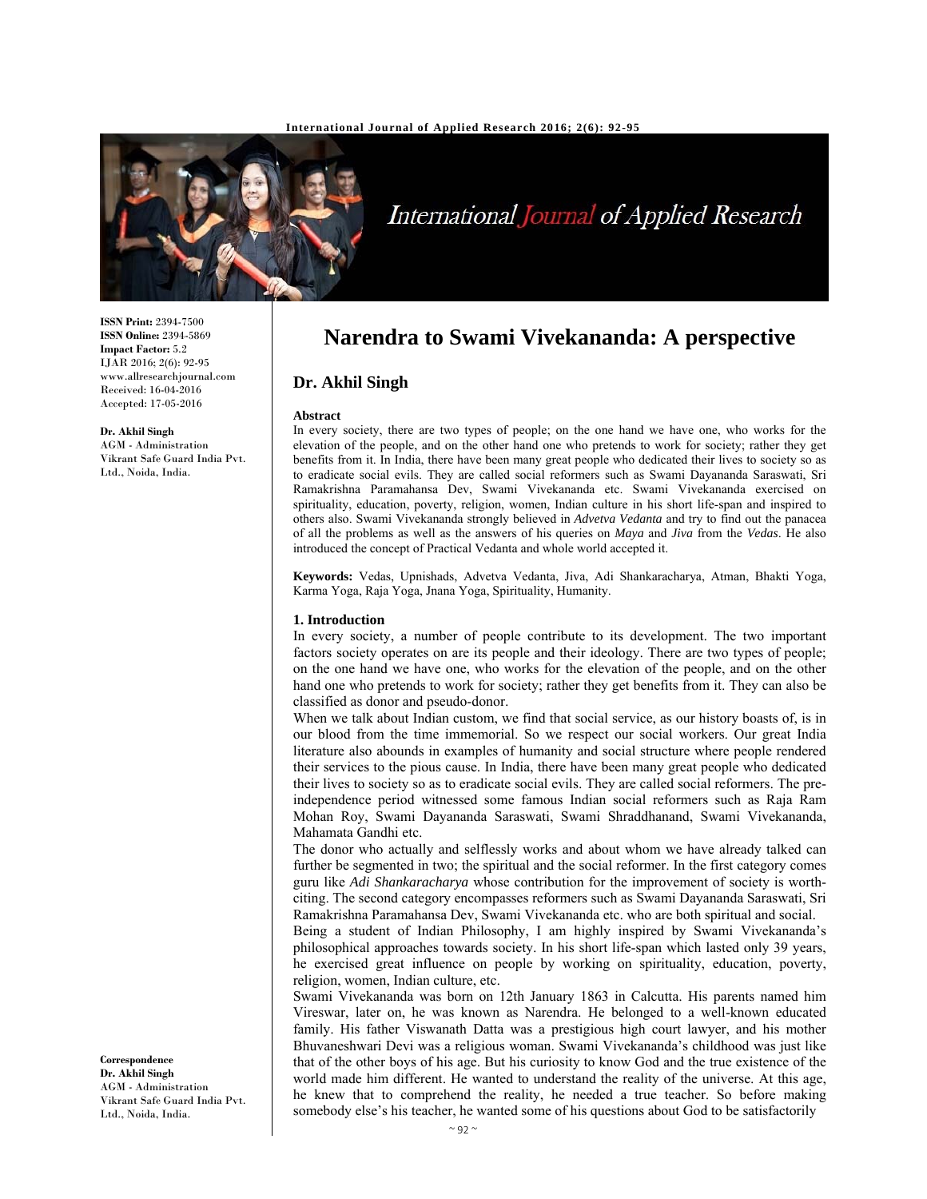

# International Journal of Applied Research

# **Narendra to Swami Vivekananda: A perspective**

### **Dr. Akhil Singh**

#### **Abstract**

In every society, there are two types of people; on the one hand we have one, who works for the elevation of the people, and on the other hand one who pretends to work for society; rather they get benefits from it. In India, there have been many great people who dedicated their lives to society so as to eradicate social evils. They are called social reformers such as Swami Dayananda Saraswati, Sri Ramakrishna Paramahansa Dev, Swami Vivekananda etc. Swami Vivekananda exercised on spirituality, education, poverty, religion, women, Indian culture in his short life-span and inspired to others also. Swami Vivekananda strongly believed in *Advetva Vedanta* and try to find out the panacea of all the problems as well as the answers of his queries on *Maya* and *Jiva* from the *Vedas*. He also introduced the concept of Practical Vedanta and whole world accepted it.

**Keywords:** Vedas, Upnishads, Advetva Vedanta, Jiva, Adi Shankaracharya, Atman, Bhakti Yoga, Karma Yoga, Raja Yoga, Jnana Yoga, Spirituality, Humanity.

#### **1. Introduction**

In every society, a number of people contribute to its development. The two important factors society operates on are its people and their ideology. There are two types of people; on the one hand we have one, who works for the elevation of the people, and on the other hand one who pretends to work for society; rather they get benefits from it. They can also be classified as donor and pseudo-donor.

When we talk about Indian custom, we find that social service, as our history boasts of, is in our blood from the time immemorial. So we respect our social workers. Our great India literature also abounds in examples of humanity and social structure where people rendered their services to the pious cause. In India, there have been many great people who dedicated their lives to society so as to eradicate social evils. They are called social reformers. The preindependence period witnessed some famous Indian social reformers such as Raja Ram Mohan Roy, Swami Dayananda Saraswati, Swami Shraddhanand, Swami Vivekananda, Mahamata Gandhi etc.

The donor who actually and selflessly works and about whom we have already talked can further be segmented in two; the spiritual and the social reformer. In the first category comes guru like *Adi Shankaracharya* whose contribution for the improvement of society is worthciting. The second category encompasses reformers such as Swami Dayananda Saraswati, Sri Ramakrishna Paramahansa Dev, Swami Vivekananda etc. who are both spiritual and social.

Being a student of Indian Philosophy, I am highly inspired by Swami Vivekananda's philosophical approaches towards society. In his short life-span which lasted only 39 years, he exercised great influence on people by working on spirituality, education, poverty, religion, women, Indian culture, etc.

Swami Vivekananda was born on 12th January 1863 in Calcutta. His parents named him Vireswar, later on, he was known as Narendra. He belonged to a well-known educated family. His father Viswanath Datta was a prestigious high court lawyer, and his mother Bhuvaneshwari Devi was a religious woman. Swami Vivekananda's childhood was just like that of the other boys of his age. But his curiosity to know God and the true existence of the world made him different. He wanted to understand the reality of the universe. At this age, he knew that to comprehend the reality, he needed a true teacher. So before making somebody else's his teacher, he wanted some of his questions about God to be satisfactorily

**ISSN Print:** 2394-7500 **ISSN Online:** 2394-5869 **Impact Factor:** 5.2 IJAR 2016; 2(6): 92-95 www.allresearchjournal.com Received: 16-04-2016 Accepted: 17-05-2016

#### **Dr. Akhil Singh**

AGM - Administration Vikrant Safe Guard India Pvt. Ltd., Noida, India.

**Correspondence Dr. Akhil Singh**  AGM - Administration Vikrant Safe Guard India Pvt. Ltd., Noida, India.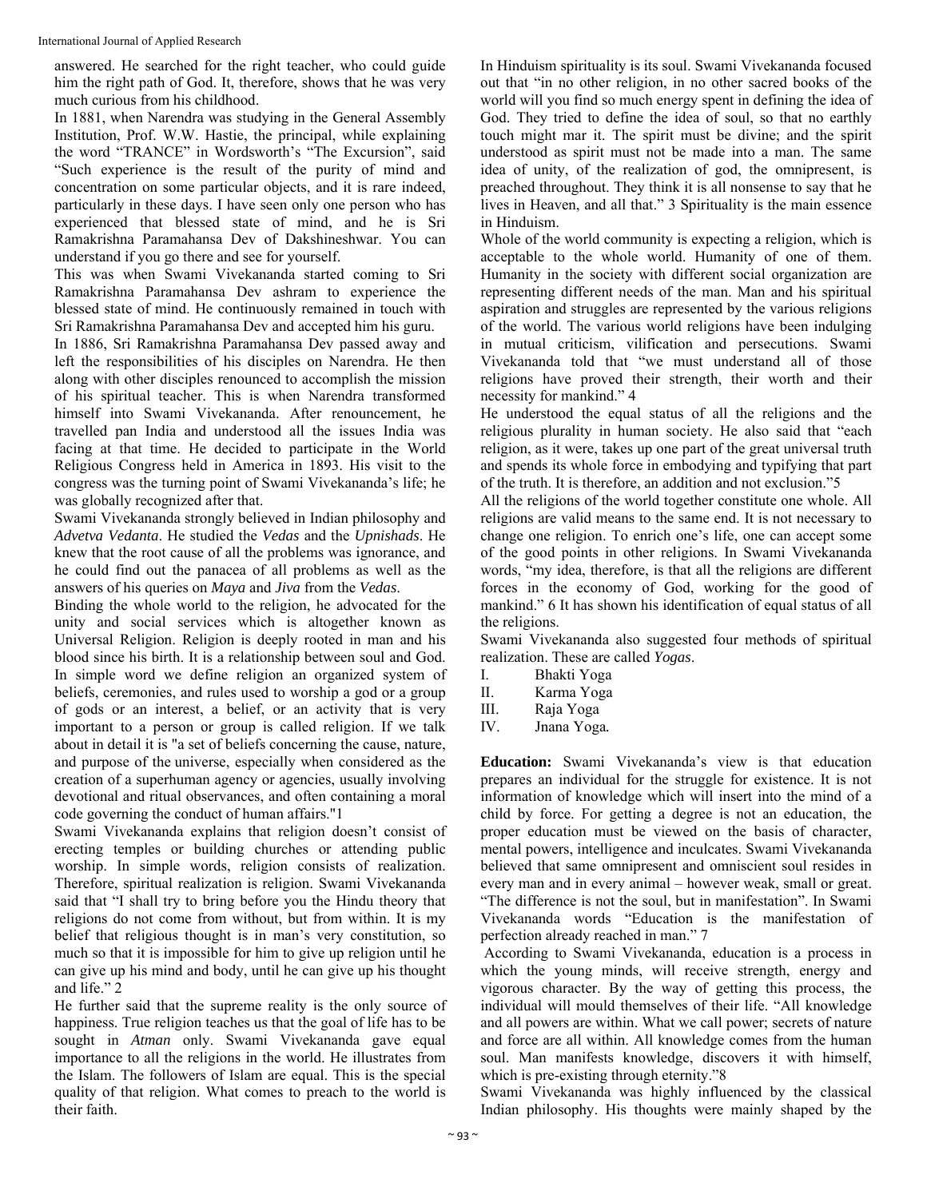answered. He searched for the right teacher, who could guide him the right path of God. It, therefore, shows that he was very much curious from his childhood.

In 1881, when Narendra was studying in the General Assembly Institution, Prof. W.W. Hastie, the principal, while explaining the word "TRANCE" in Wordsworth's "The Excursion", said "Such experience is the result of the purity of mind and concentration on some particular objects, and it is rare indeed, particularly in these days. I have seen only one person who has experienced that blessed state of mind, and he is Sri Ramakrishna Paramahansa Dev of Dakshineshwar. You can understand if you go there and see for yourself.

This was when Swami Vivekananda started coming to Sri Ramakrishna Paramahansa Dev ashram to experience the blessed state of mind. He continuously remained in touch with Sri Ramakrishna Paramahansa Dev and accepted him his guru.

In 1886, Sri Ramakrishna Paramahansa Dev passed away and left the responsibilities of his disciples on Narendra. He then along with other disciples renounced to accomplish the mission of his spiritual teacher. This is when Narendra transformed himself into Swami Vivekananda. After renouncement, he travelled pan India and understood all the issues India was facing at that time. He decided to participate in the World Religious Congress held in America in 1893. His visit to the congress was the turning point of Swami Vivekananda's life; he was globally recognized after that.

Swami Vivekananda strongly believed in Indian philosophy and *Advetva Vedanta*. He studied the *Vedas* and the *Upnishads*. He knew that the root cause of all the problems was ignorance, and he could find out the panacea of all problems as well as the answers of his queries on *Maya* and *Jiva* from the *Vedas*.

Binding the whole world to the religion, he advocated for the unity and social services which is altogether known as Universal Religion. Religion is deeply rooted in man and his blood since his birth. It is a relationship between soul and God. In simple word we define religion an organized system of beliefs, ceremonies, and rules used to worship a god or a group of gods or an interest, a belief, or an activity that is very important to a person or group is called religion. If we talk about in detail it is "a set of beliefs concerning the cause, nature, and purpose of the universe, especially when considered as the creation of a superhuman agency or agencies, usually involving devotional and ritual observances, and often containing a moral code governing the conduct of human affairs."1

Swami Vivekananda explains that religion doesn't consist of erecting temples or building churches or attending public worship. In simple words, religion consists of realization. Therefore, spiritual realization is religion. Swami Vivekananda said that "I shall try to bring before you the Hindu theory that religions do not come from without, but from within. It is my belief that religious thought is in man's very constitution, so much so that it is impossible for him to give up religion until he can give up his mind and body, until he can give up his thought and life." 2

He further said that the supreme reality is the only source of happiness. True religion teaches us that the goal of life has to be sought in *Atman* only. Swami Vivekananda gave equal importance to all the religions in the world. He illustrates from the Islam. The followers of Islam are equal. This is the special quality of that religion. What comes to preach to the world is their faith.

In Hinduism spirituality is its soul. Swami Vivekananda focused out that "in no other religion, in no other sacred books of the world will you find so much energy spent in defining the idea of God. They tried to define the idea of soul, so that no earthly touch might mar it. The spirit must be divine; and the spirit understood as spirit must not be made into a man. The same idea of unity, of the realization of god, the omnipresent, is preached throughout. They think it is all nonsense to say that he lives in Heaven, and all that." 3 Spirituality is the main essence in Hinduism.

Whole of the world community is expecting a religion, which is acceptable to the whole world. Humanity of one of them. Humanity in the society with different social organization are representing different needs of the man. Man and his spiritual aspiration and struggles are represented by the various religions of the world. The various world religions have been indulging in mutual criticism, vilification and persecutions. Swami Vivekananda told that "we must understand all of those religions have proved their strength, their worth and their necessity for mankind." 4

He understood the equal status of all the religions and the religious plurality in human society. He also said that "each religion, as it were, takes up one part of the great universal truth and spends its whole force in embodying and typifying that part of the truth. It is therefore, an addition and not exclusion."5

All the religions of the world together constitute one whole. All religions are valid means to the same end. It is not necessary to change one religion. To enrich one's life, one can accept some of the good points in other religions. In Swami Vivekananda words, "my idea, therefore, is that all the religions are different forces in the economy of God, working for the good of mankind." 6 It has shown his identification of equal status of all the religions.

Swami Vivekananda also suggested four methods of spiritual realization. These are called *Yogas*.

- I. Bhakti Yoga
- II. Karma Yoga
- III. Raja Yoga
- IV. Jnana Yoga*.*

**Education:** Swami Vivekananda's view is that education prepares an individual for the struggle for existence. It is not information of knowledge which will insert into the mind of a child by force. For getting a degree is not an education, the proper education must be viewed on the basis of character, mental powers, intelligence and inculcates. Swami Vivekananda believed that same omnipresent and omniscient soul resides in every man and in every animal – however weak, small or great. "The difference is not the soul, but in manifestation". In Swami Vivekananda words "Education is the manifestation of perfection already reached in man." 7

 According to Swami Vivekananda, education is a process in which the young minds, will receive strength, energy and vigorous character. By the way of getting this process, the individual will mould themselves of their life. "All knowledge and all powers are within. What we call power; secrets of nature and force are all within. All knowledge comes from the human soul. Man manifests knowledge, discovers it with himself, which is pre-existing through eternity."8

Swami Vivekananda was highly influenced by the classical Indian philosophy. His thoughts were mainly shaped by the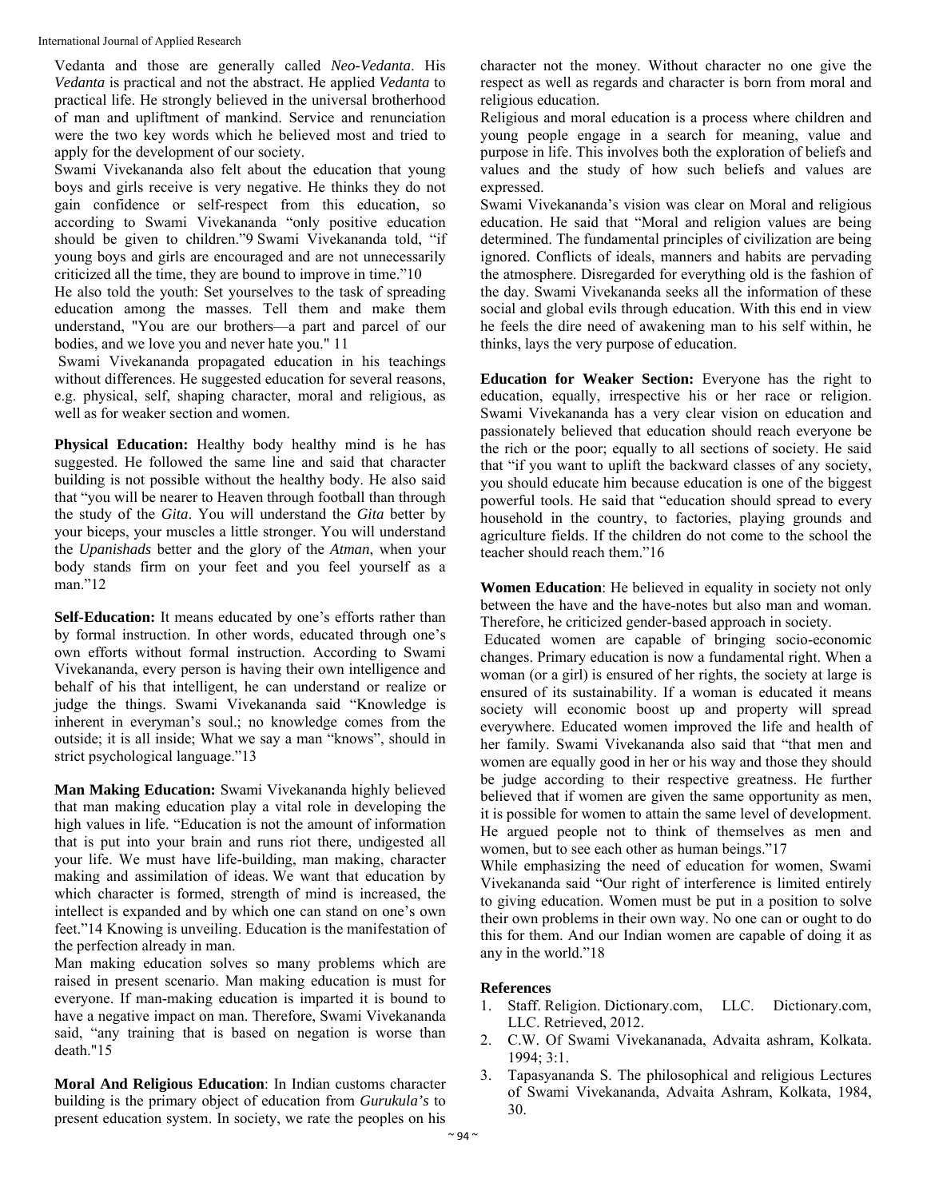International Journal of Applied Research

Vedanta and those are generally called *Neo-Vedanta*. His *Vedanta* is practical and not the abstract. He applied *Vedanta* to practical life. He strongly believed in the universal brotherhood of man and upliftment of mankind. Service and renunciation were the two key words which he believed most and tried to apply for the development of our society.

Swami Vivekananda also felt about the education that young boys and girls receive is very negative. He thinks they do not gain confidence or self-respect from this education, so according to Swami Vivekananda "only positive education should be given to children."9 Swami Vivekananda told, "if young boys and girls are encouraged and are not unnecessarily criticized all the time, they are bound to improve in time."10

He also told the youth: Set yourselves to the task of spreading education among the masses. Tell them and make them understand, "You are our brothers—a part and parcel of our bodies, and we love you and never hate you." 11

 Swami Vivekananda propagated education in his teachings without differences. He suggested education for several reasons, e.g. physical, self, shaping character, moral and religious, as well as for weaker section and women.

**Physical Education:** Healthy body healthy mind is he has suggested. He followed the same line and said that character building is not possible without the healthy body. He also said that "you will be nearer to Heaven through football than through the study of the *Gita*. You will understand the *Gita* better by your biceps, your muscles a little stronger. You will understand the *Upanishads* better and the glory of the *Atman*, when your body stands firm on your feet and you feel yourself as a man."12

**Self-Education:** It means educated by one's efforts rather than by formal instruction. In other words, educated through one's own efforts without formal instruction. According to Swami Vivekananda, every person is having their own intelligence and behalf of his that intelligent, he can understand or realize or judge the things. Swami Vivekananda said "Knowledge is inherent in everyman's soul.; no knowledge comes from the outside; it is all inside; What we say a man "knows", should in strict psychological language."13

**Man Making Education:** Swami Vivekananda highly believed that man making education play a vital role in developing the high values in life. "Education is not the amount of information that is put into your brain and runs riot there, undigested all your life. We must have life-building, man making, character making and assimilation of ideas. We want that education by which character is formed, strength of mind is increased, the intellect is expanded and by which one can stand on one's own feet."14 Knowing is unveiling. Education is the manifestation of the perfection already in man.

Man making education solves so many problems which are raised in present scenario. Man making education is must for everyone. If man-making education is imparted it is bound to have a negative impact on man. Therefore, Swami Vivekananda said, "any training that is based on negation is worse than death."15

**Moral And Religious Education**: In Indian customs character building is the primary object of education from *Gurukula's* to present education system. In society, we rate the peoples on his

character not the money. Without character no one give the respect as well as regards and character is born from moral and religious education.

Religious and moral education is a process where children and young people engage in a search for meaning, value and purpose in life. This involves both the exploration of beliefs and values and the study of how such beliefs and values are expressed.

Swami Vivekananda's vision was clear on Moral and religious education. He said that "Moral and religion values are being determined. The fundamental principles of civilization are being ignored. Conflicts of ideals, manners and habits are pervading the atmosphere. Disregarded for everything old is the fashion of the day. Swami Vivekananda seeks all the information of these social and global evils through education. With this end in view he feels the dire need of awakening man to his self within, he thinks, lays the very purpose of education.

**Education for Weaker Section:** Everyone has the right to education, equally, irrespective his or her race or religion. Swami Vivekananda has a very clear vision on education and passionately believed that education should reach everyone be the rich or the poor; equally to all sections of society. He said that "if you want to uplift the backward classes of any society, you should educate him because education is one of the biggest powerful tools. He said that "education should spread to every household in the country, to factories, playing grounds and agriculture fields. If the children do not come to the school the teacher should reach them."16

**Women Education**: He believed in equality in society not only between the have and the have-notes but also man and woman. Therefore, he criticized gender-based approach in society.

 Educated women are capable of bringing socio-economic changes. Primary education is now a fundamental right. When a woman (or a girl) is ensured of her rights, the society at large is ensured of its sustainability. If a woman is educated it means society will economic boost up and property will spread everywhere. Educated women improved the life and health of her family. Swami Vivekananda also said that "that men and women are equally good in her or his way and those they should be judge according to their respective greatness. He further believed that if women are given the same opportunity as men, it is possible for women to attain the same level of development. He argued people not to think of themselves as men and women, but to see each other as human beings."17

While emphasizing the need of education for women, Swami Vivekananda said "Our right of interference is limited entirely to giving education. Women must be put in a position to solve their own problems in their own way. No one can or ought to do this for them. And our Indian women are capable of doing it as any in the world."18

## **References**

- 1. Staff. Religion. Dictionary.com, LLC. Dictionary.com, LLC. Retrieved, 2012.
- 2. C.W. Of Swami Vivekananada, Advaita ashram, Kolkata. 1994; 3:1.
- 3. Tapasyananda S. The philosophical and religious Lectures of Swami Vivekananda, Advaita Ashram, Kolkata, 1984, 30.